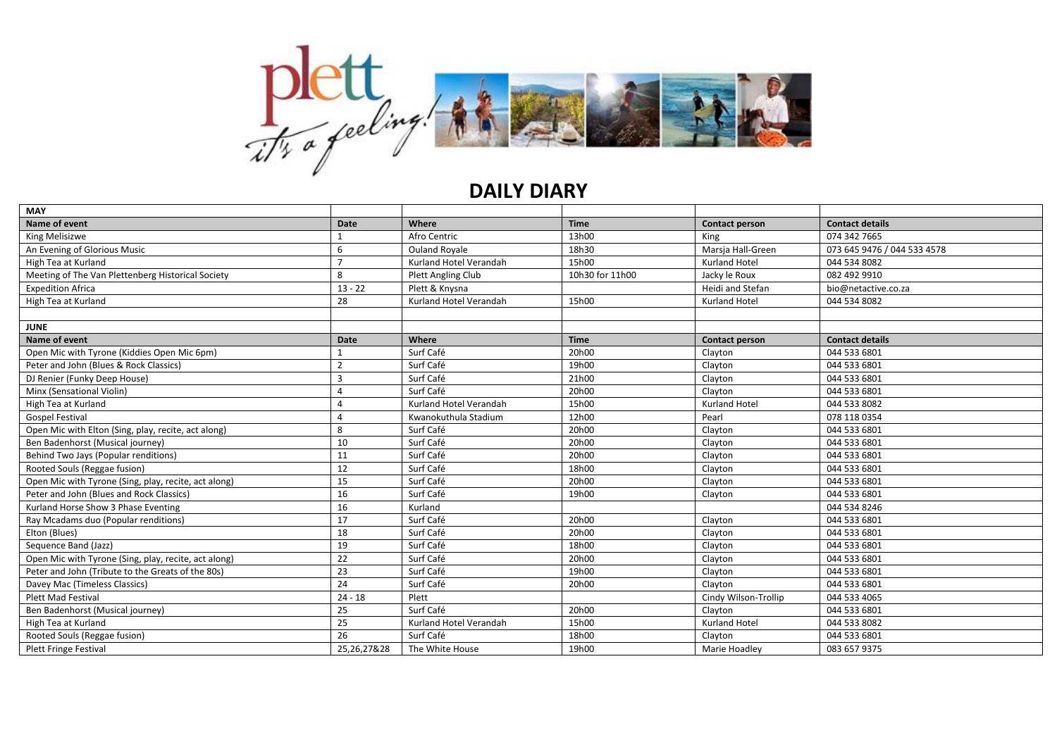

## **DAILY DIARY**

| <b>MAY</b>                                           |                |                        |                 |                       |                             |
|------------------------------------------------------|----------------|------------------------|-----------------|-----------------------|-----------------------------|
| Name of event                                        | Date           | Where                  | <b>Time</b>     | Contact person        | <b>Contact details</b>      |
| King Melisizwe                                       |                | Afro Centric           | 13h00           | King                  | 074 342 7665                |
| An Evening of Glorious Music                         | 6              | <b>Ouland Royale</b>   | 18h30           | Marsja Hall-Green     | 073 645 9476 / 044 533 4578 |
| High Tea at Kurland                                  |                | Kurland Hotel Verandah | 15h00           | <b>Kurland Hotel</b>  | 044 534 8082                |
| Meeting of The Van Plettenberg Historical Society    | 8              | Plett Angling Club     | 10h30 for 11h00 | Jacky le Roux         | 082 492 9910                |
| <b>Expedition Africa</b>                             | $13 - 22$      | Plett & Knysna         |                 | Heidi and Stefan      | bio@netactive.co.za         |
| High Tea at Kurland                                  | 28             | Kurland Hotel Verandah | 15h00           | <b>Kurland Hotel</b>  | 044 534 8082                |
|                                                      |                |                        |                 |                       |                             |
| <b>JUNE</b>                                          |                |                        |                 |                       |                             |
| Name of event                                        | Date           | Where                  | <b>Time</b>     | <b>Contact person</b> | <b>Contact details</b>      |
| Open Mic with Tyrone (Kiddies Open Mic 6pm)          |                | Surf Café              | 20h00           | Clayton               | 044 533 6801                |
| Peter and John (Blues & Rock Classics)               | $\overline{2}$ | Surf Café              | 19h00           | Clayton               | 044 533 6801                |
| DJ Renier (Funky Deep House)                         | $\overline{3}$ | Surf Café              | 21h00           | Clayton               | 044 533 6801                |
| Minx (Sensational Violin)                            | 4              | Surf Café              | 20h00           | Clayton               | 044 533 6801                |
| High Tea at Kurland                                  | 4              | Kurland Hotel Verandah | 15h00           | Kurland Hotel         | 044 533 8082                |
| <b>Gospel Festival</b>                               | $\Delta$       | Kwanokuthula Stadium   | 12h00           | Pearl                 | 078 118 0354                |
| Open Mic with Elton (Sing, play, recite, act along)  | 8              | Surf Café              | 20h00           | Clayton               | 044 533 6801                |
| Ben Badenhorst (Musical journey)                     | 10             | Surf Café              | 20h00           | Clayton               | 044 533 6801                |
| Behind Two Jays (Popular renditions)                 | 11             | Surf Café              | 20h00           | Clayton               | 044 533 6801                |
| Rooted Souls (Reggae fusion)                         | 12             | Surf Café              | 18h00           | Clayton               | 044 533 6801                |
| Open Mic with Tyrone (Sing, play, recite, act along) | 15             | Surf Café              | 20h00           | Clayton               | 044 533 6801                |
| Peter and John (Blues and Rock Classics)             | 16             | Surf Café              | 19h00           | Clayton               | 044 533 6801                |
| Kurland Horse Show 3 Phase Eventing                  | 16             | Kurland                |                 |                       | 044 534 8246                |
| Ray Mcadams duo (Popular renditions)                 | 17             | Surf Café              | 20h00           | Clayton               | 044 533 6801                |
| Elton (Blues)                                        | 18             | Surf Café              | 20h00           | Clayton               | 044 533 6801                |
| Sequence Band (Jazz)                                 | 19             | Surf Café              | 18h00           | Clayton               | 044 533 6801                |
| Open Mic with Tyrone (Sing, play, recite, act along) | 22             | Surf Café              | 20h00           | Clayton               | 044 533 6801                |
| Peter and John (Tribute to the Greats of the 80s)    | 23             | Surf Café              | 19h00           | Clayton               | 044 533 6801                |
| Davey Mac (Timeless Classics)                        | 24             | Surf Café              | 20h00           | Clayton               | 044 533 6801                |
| <b>Plett Mad Festival</b>                            | $24 - 18$      | Plett                  |                 | Cindy Wilson-Trollip  | 044 533 4065                |
| Ben Badenhorst (Musical journey)                     | 25             | Surf Café              | 20h00           | Clayton               | 044 533 6801                |
| High Tea at Kurland                                  | 25             | Kurland Hotel Verandah | 15h00           | Kurland Hotel         | 044 533 8082                |
| Rooted Souls (Reggae fusion)                         | 26             | Surf Café              | 18h00           | Clayton               | 044 533 6801                |
| <b>Plett Fringe Festival</b>                         | 25,26,27&28    | The White House        | 19h00           | Marie Hoadley         | 083 657 9375                |